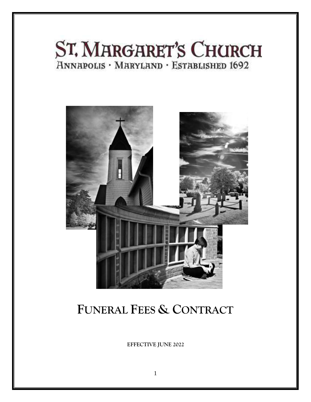# ST. MARGARET'S CHURCH **HNNAPOLIS · MARYLAND · ESTABLISHED 1692**



## FUNERAL FEES & CONTRACT

EFFECTIVE JUNE 2022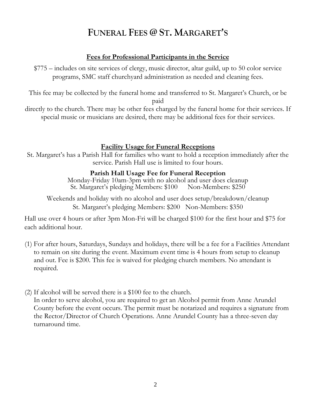## **FUNERAL FEES @ ST. MARGARET'S**

#### **Fees for Professional Participants in the Service**

\$775 – includes on site services of clergy, music director, altar guild, up to 50 color service programs, SMC staff churchyard administration as needed and cleaning fees.

This fee may be collected by the funeral home and transferred to St. Margaret's Church, or be paid

directly to the church. There may be other fees charged by the funeral home for their services. If special music or musicians are desired, there may be additional fees for their services.

#### **Facility Usage for Funeral Receptions**

St. Margaret's has a Parish Hall for families who want to hold a reception immediately after the service. Parish Hall use is limited to four hours.

#### **Parish Hall Usage Fee for Funeral Reception**

Monday-Friday 10am-3pm with no alcohol and user does cleanup<br>St. Margaret's pledging Members: \$100 Non-Members: \$250 St. Margaret's pledging Members: \$100

Weekends and holiday with no alcohol and user does setup/breakdown/cleanup St. Margaret's pledging Members: \$200 Non-Members: \$350

Hall use over 4 hours or after 3pm Mon-Fri will be charged \$100 for the first hour and \$75 for each additional hour.

- (1) For after hours, Saturdays, Sundays and holidays, there will be a fee for a Facilities Attendant to remain on site during the event. Maximum event time is 4 hours from setup to cleanup and out. Fee is \$200. This fee is waived for pledging church members. No attendant is required.
- (2) If alcohol will be served there is a \$100 fee to the church.

In order to serve alcohol, you are required to get an Alcohol permit from Anne Arundel County before the event occurs. The permit must be notarized and requires a signature from the Rector/Director of Church Operations. Anne Arundel County has a three-seven day turnaround time.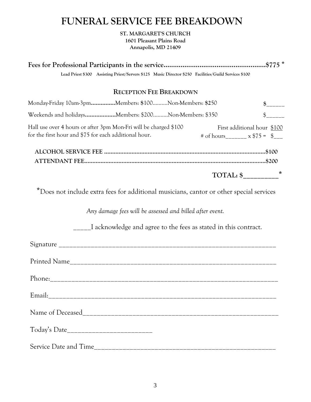## **FUNERAL SERVICE FEE BREAKDOWN**

**ST. MARGARET'S CHURCH 1601 Pleasant Plains Road Annapolis, MD 21409**

**Fees for Professional Participants in the service......................................................\$775 \* Lead Priest \$300 Assisting Priest/Servers \$125 Music Director \$250 Facilities/Guild Services \$100**

#### **RECEPTION FEE BREAKDOWN**

| Monday-Friday 10am-3pmMembers: \$100Non-Members: \$250                                                                    |                                                            |              |
|---------------------------------------------------------------------------------------------------------------------------|------------------------------------------------------------|--------------|
| Weekends and holidaysMembers: \$200Non-Members: \$350                                                                     |                                                            | $\mathbb{S}$ |
| Hall use over 4 hours or after 3pm Mon-Fri will be charged \$100<br>for the first hour and \$75 for each additional hour. | First additional hour \$100<br>$\#$ of hours $x$ \$75 = \$ |              |
|                                                                                                                           |                                                            |              |
|                                                                                                                           |                                                            | $\ast$       |

\*Does not include extra fees for additional musicians, cantor or other special services

*Any damage fees will be assessed and billed after event.* 

\_\_\_\_\_I acknowledge and agree to the fees as stated in this contract.